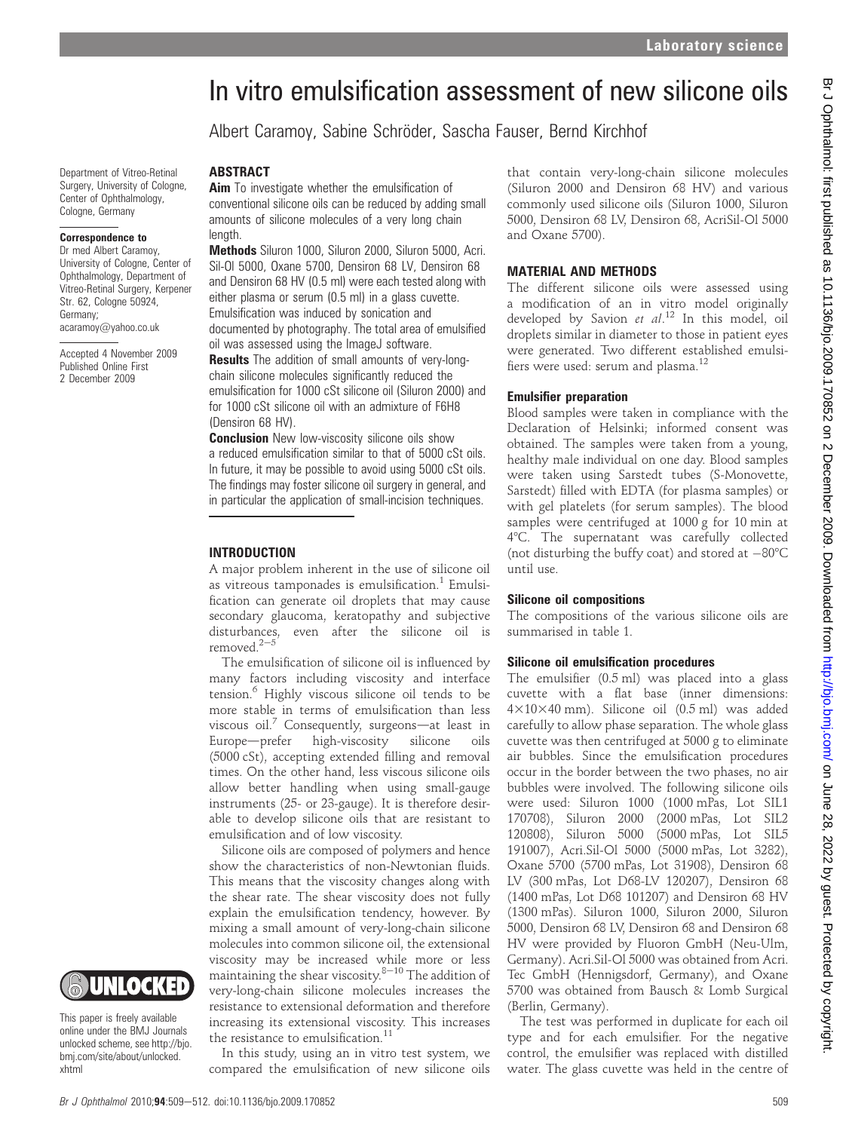# In vitro emulsification assessment of new silicone oils

Albert Caramoy, Sabine Schröder, Sascha Fauser, Bernd Kirchhof

Department of Vitreo-Retinal Surgery, University of Cologne, Center of Ophthalmology, Cologne, Germany

#### Correspondence to

Dr med Albert Caramoy, University of Cologne, Center of Ophthalmology, Department of Vitreo-Retinal Surgery, Kerpener Str. 62, Cologne 50924, Germany; acaramoy@yahoo.co.uk

Accepted 4 November 2009 Published Online First 2 December 2009

### **ABSTRACT**

Aim To investigate whether the emulsification of conventional silicone oils can be reduced by adding small amounts of silicone molecules of a very long chain length.

Methods Siluron 1000, Siluron 2000, Siluron 5000, Acri. Sil-Ol 5000, Oxane 5700, Densiron 68 LV, Densiron 68 and Densiron 68 HV (0.5 ml) were each tested along with either plasma or serum (0.5 ml) in a glass cuvette. Emulsification was induced by sonication and documented by photography. The total area of emulsified oil was assessed using the ImageJ software.

Results The addition of small amounts of very-longchain silicone molecules significantly reduced the emulsification for 1000 cSt silicone oil (Siluron 2000) and for 1000 cSt silicone oil with an admixture of F6H8 (Densiron 68 HV).

**Conclusion** New low-viscosity silicone oils show a reduced emulsification similar to that of 5000 cSt oils. In future, it may be possible to avoid using 5000 cSt oils. The findings may foster silicone oil surgery in general, and in particular the application of small-incision techniques.

#### INTRODUCTION

A major problem inherent in the use of silicone oil as vitreous tamponades is emulsification.<sup>1</sup> Emulsification can generate oil droplets that may cause secondary glaucoma, keratopathy and subjective disturbances, even after the silicone oil is removed. $2-5$ 

The emulsification of silicone oil is influenced by many factors including viscosity and interface tension.<sup>6</sup> Highly viscous silicone oil tends to be more stable in terms of emulsification than less viscous oil.<sup>7</sup> Consequently, surgeons—at least in Europe-prefer high-viscosity silicone oils (5000 cSt), accepting extended filling and removal times. On the other hand, less viscous silicone oils allow better handling when using small-gauge instruments (25- or 23-gauge). It is therefore desirable to develop silicone oils that are resistant to emulsification and of low viscosity.

Silicone oils are composed of polymers and hence show the characteristics of non-Newtonian fluids. This means that the viscosity changes along with the shear rate. The shear viscosity does not fully explain the emulsification tendency, however. By mixing a small amount of very-long-chain silicone molecules into common silicone oil, the extensional viscosity may be increased while more or less maintaining the shear viscosity. $8-10$  The addition of very-long-chain silicone molecules increases the resistance to extensional deformation and therefore increasing its extensional viscosity. This increases the resistance to emulsification.<sup>11</sup>

In this study, using an in vitro test system, we compared the emulsification of new silicone oils that contain very-long-chain silicone molecules (Siluron 2000 and Densiron 68 HV) and various commonly used silicone oils (Siluron 1000, Siluron 5000, Densiron 68 LV, Densiron 68, AcriSil-Ol 5000 and Oxane 5700).

## MATERIAL AND METHODS

The different silicone oils were assessed using a modification of an in vitro model originally developed by Savion et al.<sup>12</sup> In this model, oil droplets similar in diameter to those in patient eyes were generated. Two different established emulsifiers were used: serum and plasma. $^{12}$ 

#### Emulsifier preparation

Blood samples were taken in compliance with the Declaration of Helsinki; informed consent was obtained. The samples were taken from a young, healthy male individual on one day. Blood samples were taken using Sarstedt tubes (S-Monovette, Sarstedt) filled with EDTA (for plasma samples) or with gel platelets (for serum samples). The blood samples were centrifuged at 1000 g for 10 min at 48C. The supernatant was carefully collected (not disturbing the buffy coat) and stored at  $-80^{\circ}$ C until use.

#### Silicone oil compositions

The compositions of the various silicone oils are summarised in table 1.

#### Silicone oil emulsification procedures

The emulsifier (0.5 ml) was placed into a glass cuvette with a flat base (inner dimensions: 4310340 mm). Silicone oil (0.5 ml) was added carefully to allow phase separation. The whole glass cuvette was then centrifuged at 5000 g to eliminate air bubbles. Since the emulsification procedures occur in the border between the two phases, no air bubbles were involved. The following silicone oils were used: Siluron 1000 (1000 mPas, Lot SIL1 170708), Siluron 2000 (2000 mPas, Lot SIL2 120808), Siluron 5000 (5000 mPas, Lot SIL5 191007), Acri.Sil-Ol 5000 (5000 mPas, Lot 3282), Oxane 5700 (5700 mPas, Lot 31908), Densiron 68 LV (300 mPas, Lot D68-LV 120207), Densiron 68 (1400 mPas, Lot D68 101207) and Densiron 68 HV (1300 mPas). Siluron 1000, Siluron 2000, Siluron 5000, Densiron 68 LV, Densiron 68 and Densiron 68 HV were provided by Fluoron GmbH (Neu-Ulm, Germany). Acri.Sil-Ol 5000 was obtained from Acri. Tec GmbH (Hennigsdorf, Germany), and Oxane 5700 was obtained from Bausch & Lomb Surgical (Berlin, Germany).

The test was performed in duplicate for each oil type and for each emulsifier. For the negative control, the emulsifier was replaced with distilled water. The glass cuvette was held in the centre of

# UNLOCKED

This paper is freely available online under the BMJ Journals unlocked scheme, see http://bjo. bmj.com/site/about/unlocked. xhtml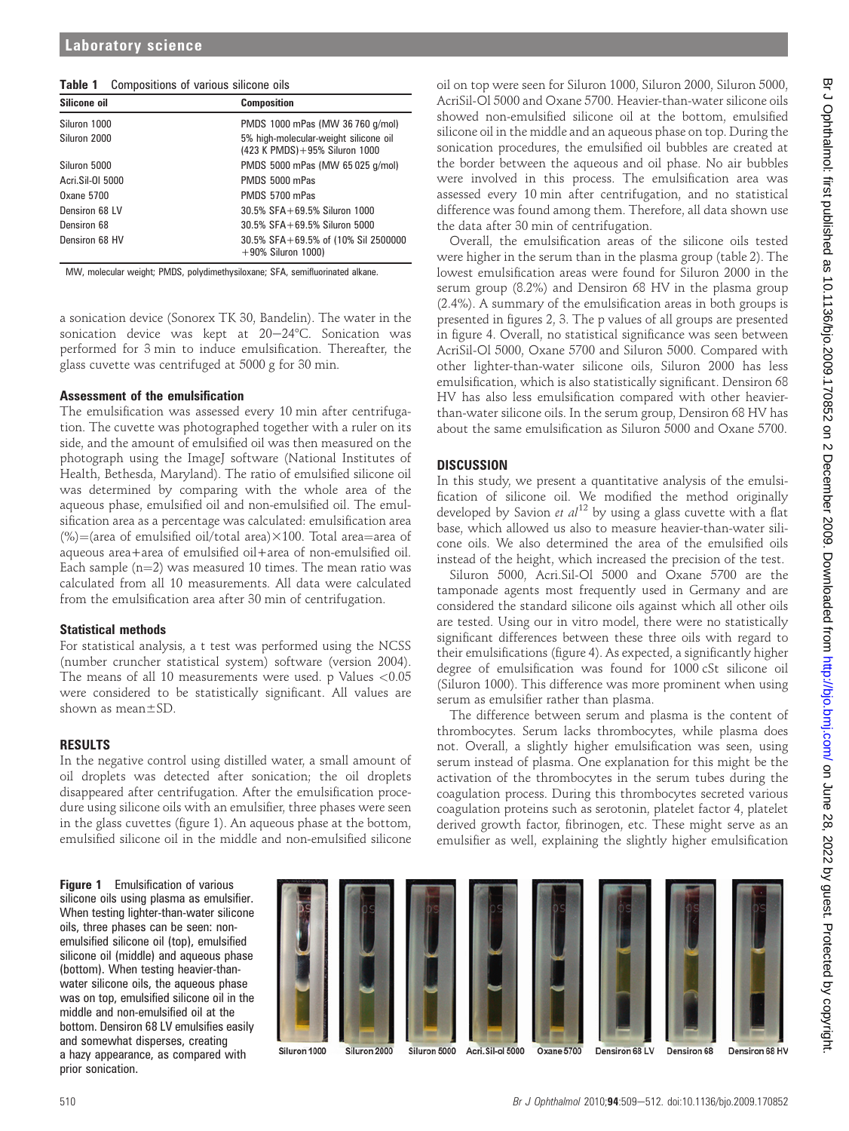| Table 1 Compositions of various silicone oils |  |  |  |  |
|-----------------------------------------------|--|--|--|--|
|-----------------------------------------------|--|--|--|--|

| Silicone oil     | <b>Composition</b>                                                       |
|------------------|--------------------------------------------------------------------------|
| Siluron 1000     | PMDS 1000 mPas (MW 36 760 g/mol)                                         |
| Siluron 2000     | 5% high-molecular-weight silicone oil<br>(423 K PMDS) + 95% Siluron 1000 |
| Siluron 5000     | PMDS 5000 mPas (MW 65 025 g/mol)                                         |
| Acri.Sil-01 5000 | PMDS 5000 mPas                                                           |
| Oxane 5700       | PMDS 5700 mPas                                                           |
| Densiron 68 LV   | 30.5% SFA+69.5% Siluron 1000                                             |
| Densiron 68      | $30.5\%$ SFA + 69.5% Siluron 5000                                        |
| Densiron 68 HV   | 30.5% SFA+69.5% of (10% Sil 2500000<br>$+90\%$ Siluron 1000)             |

MW, molecular weight; PMDS, polydimethysiloxane; SFA, semifluorinated alkane.

a sonication device (Sonorex TK 30, Bandelin). The water in the sonication device was kept at  $20-24$ °C. Sonication was performed for 3 min to induce emulsification. Thereafter, the glass cuvette was centrifuged at 5000 g for 30 min.

#### Assessment of the emulsification

The emulsification was assessed every 10 min after centrifugation. The cuvette was photographed together with a ruler on its side, and the amount of emulsified oil was then measured on the photograph using the ImageJ software (National Institutes of Health, Bethesda, Maryland). The ratio of emulsified silicone oil was determined by comparing with the whole area of the aqueous phase, emulsified oil and non-emulsified oil. The emulsification area as a percentage was calculated: emulsification area (%)=(area of emulsified oil/total area) $\times$ 100. Total area=area of aqueous area+area of emulsified oil+area of non-emulsified oil. Each sample  $(n=2)$  was measured 10 times. The mean ratio was calculated from all 10 measurements. All data were calculated from the emulsification area after 30 min of centrifugation.

#### Statistical methods

For statistical analysis, a t test was performed using the NCSS (number cruncher statistical system) software (version 2004). The means of all 10 measurements were used. p Values  $< 0.05$ were considered to be statistically significant. All values are shown as mean $\pm$ SD.

#### RESULTS

In the negative control using distilled water, a small amount of oil droplets was detected after sonication; the oil droplets disappeared after centrifugation. After the emulsification procedure using silicone oils with an emulsifier, three phases were seen in the glass cuvettes (figure 1). An aqueous phase at the bottom, emulsified silicone oil in the middle and non-emulsified silicone

oil on top were seen for Siluron 1000, Siluron 2000, Siluron 5000, AcriSil-Ol 5000 and Oxane 5700. Heavier-than-water silicone oils showed non-emulsified silicone oil at the bottom, emulsified silicone oil in the middle and an aqueous phase on top. During the sonication procedures, the emulsified oil bubbles are created at the border between the aqueous and oil phase. No air bubbles were involved in this process. The emulsification area was assessed every 10 min after centrifugation, and no statistical difference was found among them. Therefore, all data shown use the data after 30 min of centrifugation.

Overall, the emulsification areas of the silicone oils tested were higher in the serum than in the plasma group (table 2). The lowest emulsification areas were found for Siluron 2000 in the serum group (8.2%) and Densiron 68 HV in the plasma group (2.4%). A summary of the emulsification areas in both groups is presented in figures 2, 3. The p values of all groups are presented in figure 4. Overall, no statistical significance was seen between AcriSil-Ol 5000, Oxane 5700 and Siluron 5000. Compared with other lighter-than-water silicone oils, Siluron 2000 has less emulsification, which is also statistically significant. Densiron 68 HV has also less emulsification compared with other heavierthan-water silicone oils. In the serum group, Densiron 68 HV has about the same emulsification as Siluron 5000 and Oxane 5700.

# **DISCUSSION**

In this study, we present a quantitative analysis of the emulsification of silicone oil. We modified the method originally developed by Savion et  $al^{12}$  by using a glass cuvette with a flat base, which allowed us also to measure heavier-than-water silicone oils. We also determined the area of the emulsified oils instead of the height, which increased the precision of the test.

Siluron 5000, Acri.Sil-Ol 5000 and Oxane 5700 are the tamponade agents most frequently used in Germany and are considered the standard silicone oils against which all other oils are tested. Using our in vitro model, there were no statistically significant differences between these three oils with regard to their emulsifications (figure 4). As expected, a significantly higher degree of emulsification was found for 1000 cSt silicone oil (Siluron 1000). This difference was more prominent when using serum as emulsifier rather than plasma.

The difference between serum and plasma is the content of thrombocytes. Serum lacks thrombocytes, while plasma does not. Overall, a slightly higher emulsification was seen, using serum instead of plasma. One explanation for this might be the activation of the thrombocytes in the serum tubes during the coagulation process. During this thrombocytes secreted various coagulation proteins such as serotonin, platelet factor 4, platelet derived growth factor, fibrinogen, etc. These might serve as an emulsifier as well, explaining the slightly higher emulsification

Figure 1 Emulsification of various silicone oils using plasma as emulsifier. When testing lighter-than-water silicone oils, three phases can be seen: nonemulsified silicone oil (top), emulsified silicone oil (middle) and aqueous phase (bottom). When testing heavier-thanwater silicone oils, the aqueous phase was on top, emulsified silicone oil in the middle and non-emulsified oil at the bottom. Densiron 68 LV emulsifies easily and somewhat disperses, creating a hazy appearance, as compared with prior sonication.



Siluron 1000 Siluron 2000

Acri. Sil-ol 5000 Oxane 5700

Siluron 5000

Densiron 68

**Densiron 68 LV**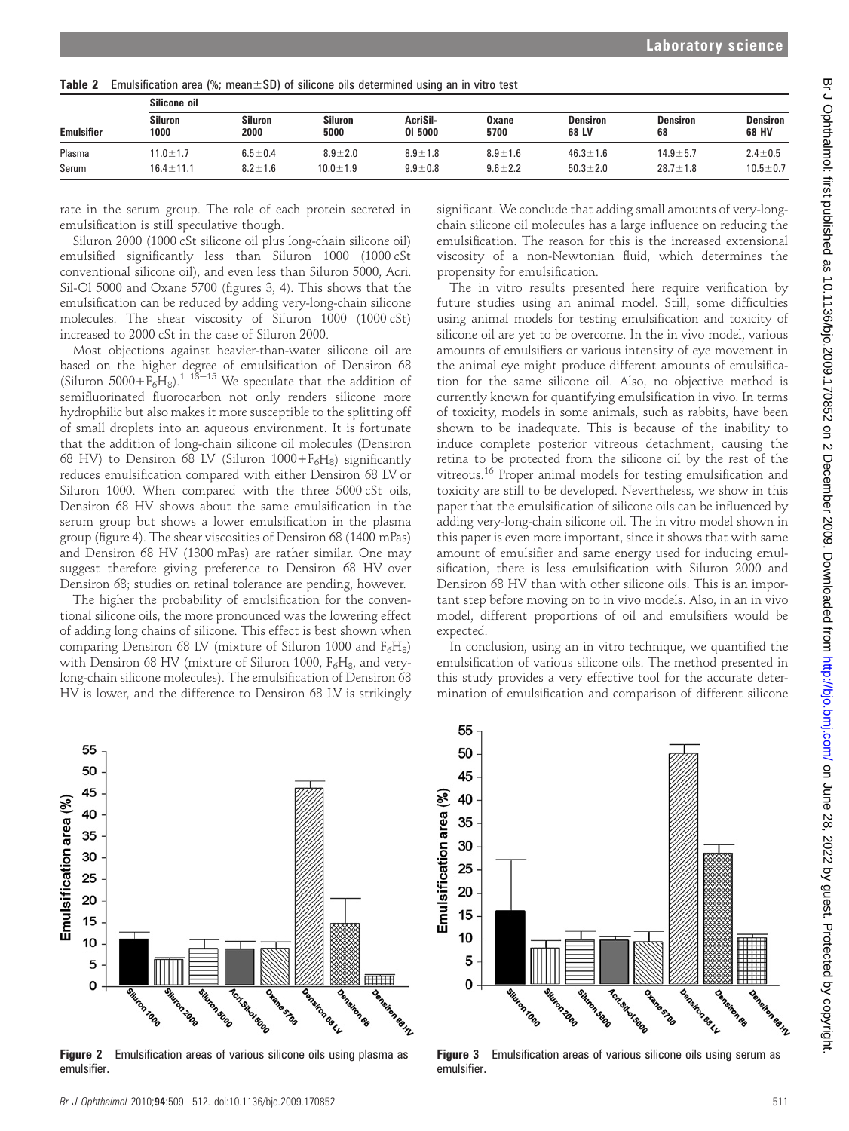| .<br><u>Lindomodion drog (70, modificial of omoono ono dotorminod domig dirin vitro toot</u> |                                |                                 |                                |                                |                                  |                                  |                                 |  |  |  |
|----------------------------------------------------------------------------------------------|--------------------------------|---------------------------------|--------------------------------|--------------------------------|----------------------------------|----------------------------------|---------------------------------|--|--|--|
| Silicone oil                                                                                 |                                |                                 |                                |                                |                                  |                                  |                                 |  |  |  |
| Siluron<br>1000                                                                              | Siluron<br>2000                | <b>Siluron</b><br>5000          | AcriSil-<br>01 5000            | Oxane<br>5700                  | <b>Densiron</b><br>68 LV         | <b>Densiron</b><br>68            | <b>Densiron</b><br>68 HV        |  |  |  |
| $11.0 \pm 1.7$<br>$16.4 \pm 11.1$                                                            | $6.5 \pm 0.4$<br>$8.2 \pm 1.6$ | $8.9 \pm 2.0$<br>$10.0 \pm 1.9$ | $8.9 \pm 1.8$<br>$9.9 \pm 0.8$ | $8.9 \pm 1.6$<br>$9.6 \pm 2.2$ | $46.3 \pm 1.6$<br>$50.3 \pm 2.0$ | $14.9 \pm 5.7$<br>$28.7 \pm 1.8$ | $2.4 \pm 0.5$<br>$10.5 \pm 0.7$ |  |  |  |
|                                                                                              |                                |                                 |                                |                                |                                  |                                  |                                 |  |  |  |

**Table 2** Emulsification area  $(\% \cdot \text{mean} + \text{SD})$  of silicone oils determined using an in vitro test

rate in the serum group. The role of each protein secreted in emulsification is still speculative though.

Siluron 2000 (1000 cSt silicone oil plus long-chain silicone oil) emulsified significantly less than Siluron 1000 (1000 cSt conventional silicone oil), and even less than Siluron 5000, Acri. Sil-Ol 5000 and Oxane 5700 (figures 3, 4). This shows that the emulsification can be reduced by adding very-long-chain silicone molecules. The shear viscosity of Siluron 1000 (1000 cSt) increased to 2000 cSt in the case of Siluron 2000.

Most objections against heavier-than-water silicone oil are based on the higher degree of emulsification of Densiron 68 (Siluron  $5000+F_6H_8$ ).<sup>1 13–15</sup> We speculate that the addition of semifluorinated fluorocarbon not only renders silicone more hydrophilic but also makes it more susceptible to the splitting off of small droplets into an aqueous environment. It is fortunate that the addition of long-chain silicone oil molecules (Densiron 68 HV) to Densiron 68 LV (Siluron  $1000 + F<sub>6</sub>H<sub>8</sub>$ ) significantly reduces emulsification compared with either Densiron 68 LV or Siluron 1000. When compared with the three 5000 cSt oils, Densiron 68 HV shows about the same emulsification in the serum group but shows a lower emulsification in the plasma group (figure 4). The shear viscosities of Densiron 68 (1400 mPas) and Densiron 68 HV (1300 mPas) are rather similar. One may suggest therefore giving preference to Densiron 68 HV over Densiron 68; studies on retinal tolerance are pending, however.

The higher the probability of emulsification for the conventional silicone oils, the more pronounced was the lowering effect of adding long chains of silicone. This effect is best shown when comparing Densiron 68 LV (mixture of Siluron 1000 and  $F_6H_8$ ) with Densiron 68 HV (mixture of Siluron 1000,  $F_6H_8$ , and verylong-chain silicone molecules). The emulsification of Densiron 68 HV is lower, and the difference to Densiron 68 LV is strikingly

significant. We conclude that adding small amounts of very-longchain silicone oil molecules has a large influence on reducing the emulsification. The reason for this is the increased extensional viscosity of a non-Newtonian fluid, which determines the propensity for emulsification.

The in vitro results presented here require verification by future studies using an animal model. Still, some difficulties using animal models for testing emulsification and toxicity of silicone oil are yet to be overcome. In the in vivo model, various amounts of emulsifiers or various intensity of eye movement in the animal eye might produce different amounts of emulsification for the same silicone oil. Also, no objective method is currently known for quantifying emulsification in vivo. In terms of toxicity, models in some animals, such as rabbits, have been shown to be inadequate. This is because of the inability to induce complete posterior vitreous detachment, causing the retina to be protected from the silicone oil by the rest of the vitreous.<sup>16</sup> Proper animal models for testing emulsification and toxicity are still to be developed. Nevertheless, we show in this paper that the emulsification of silicone oils can be influenced by adding very-long-chain silicone oil. The in vitro model shown in this paper is even more important, since it shows that with same amount of emulsifier and same energy used for inducing emulsification, there is less emulsification with Siluron 2000 and Densiron 68 HV than with other silicone oils. This is an important step before moving on to in vivo models. Also, in an in vivo model, different proportions of oil and emulsifiers would be expected.

In conclusion, using an in vitro technique, we quantified the emulsification of various silicone oils. The method presented in this study provides a very effective tool for the accurate determination of emulsification and comparison of different silicone



**Figure 2** Emulsification areas of various silicone oils using plasma as emulsifier.



**Figure 3** Emulsification areas of various silicone oils using serum as emulsifier.